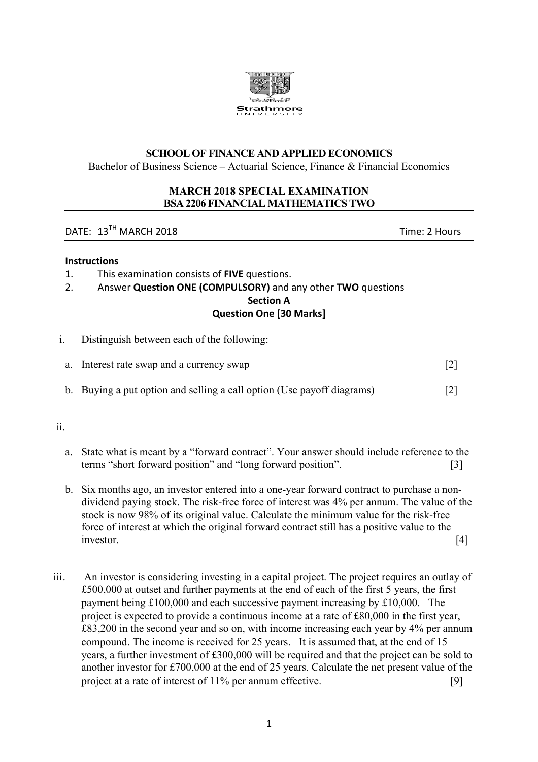

### **SCHOOL OF FINANCE AND APPLIED ECONOMICS**

Bachelor of Business Science – Actuarial Science, Finance  $\&$  Financial Economics

### **MARCH 2018 SPECIAL EXAMINATION BSA 2206 FINANCIAL MATHEMATICSTWO**

## DATE: 13TH MARCH 2018 Time: 2 Hours

### **Instructions**

- 1. This examination consists of **FIVE** questions.
- 2. Answer **Question ONE (COMPULSORY)** and any other **TWO** questions

**Section A** 

## **Question One [30 Marks]**

i. Distinguish between each of the following:

| a. Interest rate swap and a currency swap |  |
|-------------------------------------------|--|
|                                           |  |

b. Buying a put option and selling a call option (Use payoff diagrams) [2]

ii.

- a. State what is meant by a "forward contract". Your answer should include reference to the terms "short forward position" and "long forward position". [3]
- b. Six months ago, an investor entered into a one-year forward contract to purchase a nondividend paying stock. The risk-free force of interest was 4% per annum. The value of the stock is now 98% of its original value. Calculate the minimum value for the risk-free force of interest at which the original forward contract still has a positive value to the investor. [4]
- iii. An investor is considering investing in a capital project. The project requires an outlay of £500,000 at outset and further payments at the end of each of the first 5 years, the first payment being £100,000 and each successive payment increasing by £10,000. The project is expected to provide a continuous income at a rate of £80,000 in the first year, £83,200 in the second year and so on, with income increasing each year by 4% per annum compound. The income is received for 25 years. It is assumed that, at the end of 15 years, a further investment of £300,000 will be required and that the project can be sold to another investor for £700,000 at the end of 25 years. Calculate the net present value of the project at a rate of interest of 11% per annum effective. [9]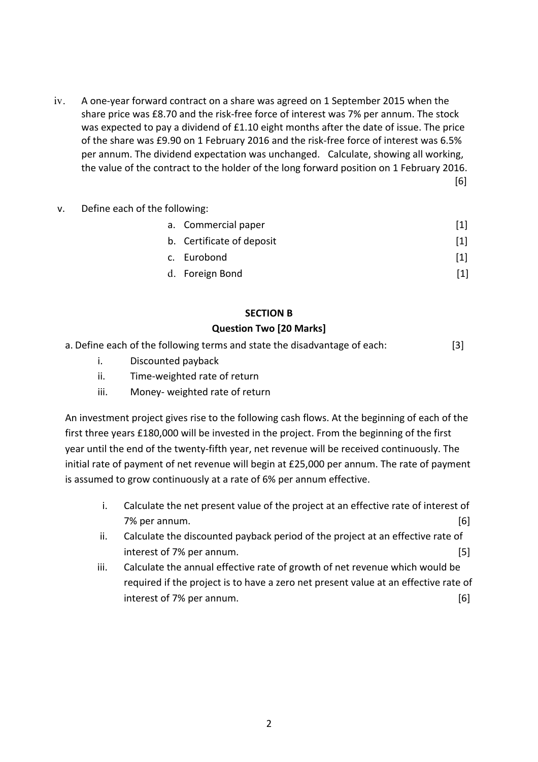- iv. A one-year forward contract on a share was agreed on 1 September 2015 when the share price was £8.70 and the risk-free force of interest was 7% per annum. The stock was expected to pay a dividend of £1.10 eight months after the date of issue. The price of the share was £9.90 on 1 February 2016 and the risk-free force of interest was  $6.5\%$ per annum. The dividend expectation was unchanged. Calculate, showing all working, the value of the contract to the holder of the long forward position on 1 February 2016.  $[6]$
- v. Define each of the following:

| a. Commercial paper       |                   |
|---------------------------|-------------------|
| b. Certificate of deposit | $\lceil 1 \rceil$ |
| c. Eurobond               | $\lceil 1 \rceil$ |

d. Foreign Bond [1]

# **SECTION B**

## **Question Two [20 Marks]**

- a. Define each of the following terms and state the disadvantage of each: [3]
	- i. Discounted payback
	- ii. Time-weighted rate of return
	- iii. Money- weighted rate of return

An investment project gives rise to the following cash flows. At the beginning of each of the first three years £180,000 will be invested in the project. From the beginning of the first year until the end of the twenty-fifth year, net revenue will be received continuously. The initial rate of payment of net revenue will begin at  $£25,000$  per annum. The rate of payment is assumed to grow continuously at a rate of 6% per annum effective.

- i. Calculate the net present value of the project at an effective rate of interest of 7% per annum. [6]
- ii. Calculate the discounted payback period of the project at an effective rate of interest of 7% per annum. [5]
- iii. Calculate the annual effective rate of growth of net revenue which would be required if the project is to have a zero net present value at an effective rate of interest of 7% per annum. [6]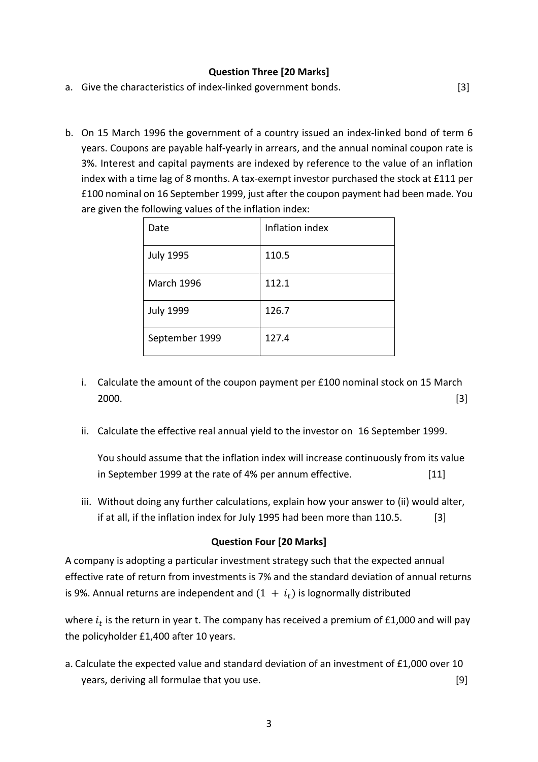### **Question Three [20 Marks]**

- a. Give the characteristics of index-linked government bonds. [3]
- b. On 15 March 1996 the government of a country issued an index-linked bond of term 6 years. Coupons are payable half-yearly in arrears, and the annual nominal coupon rate is 3%. Interest and capital payments are indexed by reference to the value of an inflation index with a time lag of 8 months. A tax-exempt investor purchased the stock at £111 per £100 nominal on 16 September 1999, just after the coupon payment had been made. You are given the following values of the inflation index:

| Date              | Inflation index |
|-------------------|-----------------|
| <b>July 1995</b>  | 110.5           |
| <b>March 1996</b> | 112.1           |
| <b>July 1999</b>  | 126.7           |
| September 1999    | 127.4           |

- i. Calculate the amount of the coupon payment per  $£100$  nominal stock on 15 March  $2000.$  [3]
- ii. Calculate the effective real annual vield to the investor on 16 September 1999.

You should assume that the inflation index will increase continuously from its value in September 1999 at the rate of 4% per annum effective. [11] 

iii. Without doing any further calculations, explain how your answer to (ii) would alter, if at all, if the inflation index for July 1995 had been more than 110.5.  $[3]$ 

### **Question Four [20 Marks]**

A company is adopting a particular investment strategy such that the expected annual effective rate of return from investments is 7% and the standard deviation of annual returns is 9%. Annual returns are independent and  $(1 + i_t)$  is lognormally distributed

where  $i_t$  is the return in year t. The company has received a premium of £1,000 and will pay the policyholder  $£1,400$  after 10 years.

a. Calculate the expected value and standard deviation of an investment of  $£1,000$  over 10 years, deriving all formulae that you use.  $[9]$